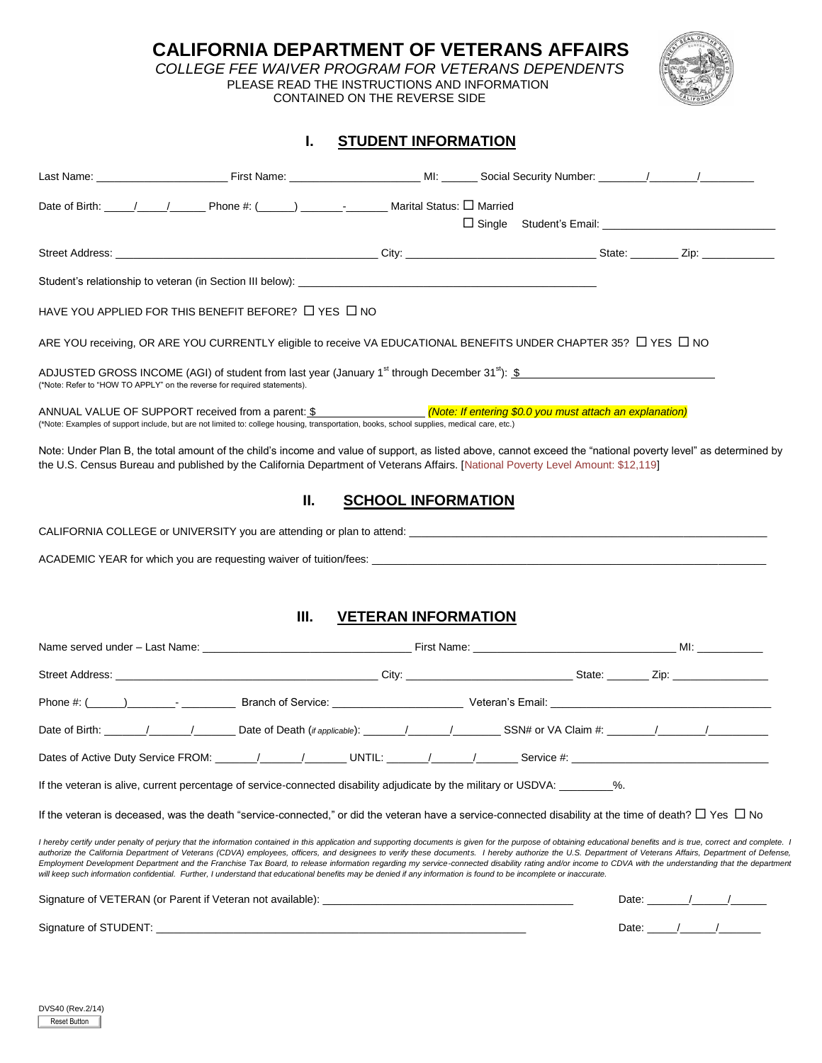**CALIFORNIA DEPARTMENT OF VETERANS AFFAIRS** 

 *COLLEGE FEE WAIVER PROGRAM FOR VETERANS DEPENDENTS* PLEASE READ THE INSTRUCTIONS AND INFORMATION

CONTAINED ON THE REVERSE SIDE



# **I. STUDENT INFORMATION**

| HAVE YOU APPLIED FOR THIS BENEFIT BEFORE? $\Box$ YES $\Box$ NO                                                                                                                                                                                                                                                                                                                                                                                                                                                                                                                                                                                                                                                                                                                                                    |                            |  |                                                                                                                                                                                                                                                                                                                                                                                                                          |
|-------------------------------------------------------------------------------------------------------------------------------------------------------------------------------------------------------------------------------------------------------------------------------------------------------------------------------------------------------------------------------------------------------------------------------------------------------------------------------------------------------------------------------------------------------------------------------------------------------------------------------------------------------------------------------------------------------------------------------------------------------------------------------------------------------------------|----------------------------|--|--------------------------------------------------------------------------------------------------------------------------------------------------------------------------------------------------------------------------------------------------------------------------------------------------------------------------------------------------------------------------------------------------------------------------|
| ARE YOU receiving, OR ARE YOU CURRENTLY eligible to receive VA EDUCATIONAL BENEFITS UNDER CHAPTER 35? □ YES □ NO                                                                                                                                                                                                                                                                                                                                                                                                                                                                                                                                                                                                                                                                                                  |                            |  |                                                                                                                                                                                                                                                                                                                                                                                                                          |
| ADJUSTED GROSS INCOME (AGI) of student from last year (January 1 <sup>st</sup> through December 31 <sup>st</sup> ): $$$<br>(*Note: Refer to "HOW TO APPLY" on the reverse for required statements).                                                                                                                                                                                                                                                                                                                                                                                                                                                                                                                                                                                                               |                            |  |                                                                                                                                                                                                                                                                                                                                                                                                                          |
| ANNUAL VALUE OF SUPPORT received from a parent: \$ (Note: If entering \$0.0 you must attach an explanation)<br>(*Note: Examples of support include, but are not limited to: college housing, transportation, books, school supplies, medical care, etc.)                                                                                                                                                                                                                                                                                                                                                                                                                                                                                                                                                          |                            |  |                                                                                                                                                                                                                                                                                                                                                                                                                          |
| Note: Under Plan B, the total amount of the child's income and value of support, as listed above, cannot exceed the "national poverty level" as determined by<br>the U.S. Census Bureau and published by the California Department of Veterans Affairs. [National Poverty Level Amount: \$12,119]                                                                                                                                                                                                                                                                                                                                                                                                                                                                                                                 |                            |  |                                                                                                                                                                                                                                                                                                                                                                                                                          |
| Ш.                                                                                                                                                                                                                                                                                                                                                                                                                                                                                                                                                                                                                                                                                                                                                                                                                | <b>SCHOOL INFORMATION</b>  |  |                                                                                                                                                                                                                                                                                                                                                                                                                          |
|                                                                                                                                                                                                                                                                                                                                                                                                                                                                                                                                                                                                                                                                                                                                                                                                                   |                            |  |                                                                                                                                                                                                                                                                                                                                                                                                                          |
| ACADEMIC YEAR for which you are requesting waiver of tuition/fees:<br>example and the contract of the contract of the contract of tuition/fees:                                                                                                                                                                                                                                                                                                                                                                                                                                                                                                                                                                                                                                                                   |                            |  |                                                                                                                                                                                                                                                                                                                                                                                                                          |
|                                                                                                                                                                                                                                                                                                                                                                                                                                                                                                                                                                                                                                                                                                                                                                                                                   |                            |  |                                                                                                                                                                                                                                                                                                                                                                                                                          |
| Ш.                                                                                                                                                                                                                                                                                                                                                                                                                                                                                                                                                                                                                                                                                                                                                                                                                |                            |  |                                                                                                                                                                                                                                                                                                                                                                                                                          |
|                                                                                                                                                                                                                                                                                                                                                                                                                                                                                                                                                                                                                                                                                                                                                                                                                   | <b>VETERAN INFORMATION</b> |  |                                                                                                                                                                                                                                                                                                                                                                                                                          |
|                                                                                                                                                                                                                                                                                                                                                                                                                                                                                                                                                                                                                                                                                                                                                                                                                   |                            |  |                                                                                                                                                                                                                                                                                                                                                                                                                          |
|                                                                                                                                                                                                                                                                                                                                                                                                                                                                                                                                                                                                                                                                                                                                                                                                                   |                            |  |                                                                                                                                                                                                                                                                                                                                                                                                                          |
|                                                                                                                                                                                                                                                                                                                                                                                                                                                                                                                                                                                                                                                                                                                                                                                                                   |                            |  |                                                                                                                                                                                                                                                                                                                                                                                                                          |
|                                                                                                                                                                                                                                                                                                                                                                                                                                                                                                                                                                                                                                                                                                                                                                                                                   |                            |  |                                                                                                                                                                                                                                                                                                                                                                                                                          |
| Dates of Active Duty Service FROM: _______/________/_______UNTIL: _______/_______/__________Service #: ________________________________                                                                                                                                                                                                                                                                                                                                                                                                                                                                                                                                                                                                                                                                           |                            |  |                                                                                                                                                                                                                                                                                                                                                                                                                          |
| If the veteran is alive, current percentage of service-connected disability adjudicate by the military or USDVA:                                                                                                                                                                                                                                                                                                                                                                                                                                                                                                                                                                                                                                                                                                  |                            |  |                                                                                                                                                                                                                                                                                                                                                                                                                          |
| If the veteran is deceased, was the death "service-connected," or did the veteran have a service-connected disability at the time of death? $\Box$ Yes $\Box$ No                                                                                                                                                                                                                                                                                                                                                                                                                                                                                                                                                                                                                                                  |                            |  |                                                                                                                                                                                                                                                                                                                                                                                                                          |
| I hereby certify under penalty of perjury that the information contained in this application and supporting documents is given for the purpose of obtaining educational benefits and is true, correct and complete. I<br>authorize the California Department of Veterans (CDVA) employees, officers, and designees to verify these documents. I hereby authorize the U.S. Department of Veterans Affairs, Department of Defense,<br>Employment Development Department and the Franchise Tax Board, to release information regarding my service-connected disability rating and/or income to CDVA with the understanding that the department<br>will keep such information confidential. Further, I understand that educational benefits may be denied if any information is found to be incomplete or inaccurate. |                            |  |                                                                                                                                                                                                                                                                                                                                                                                                                          |
| Signature of VETERAN (or Parent if Veteran not available):                                                                                                                                                                                                                                                                                                                                                                                                                                                                                                                                                                                                                                                                                                                                                        |                            |  | Date: $\frac{1}{\sqrt{1-\frac{1}{2}}}\frac{1}{\sqrt{1-\frac{1}{2}}}\frac{1}{\sqrt{1-\frac{1}{2}}}\frac{1}{\sqrt{1-\frac{1}{2}}}\frac{1}{\sqrt{1-\frac{1}{2}}}\frac{1}{\sqrt{1-\frac{1}{2}}}\frac{1}{\sqrt{1-\frac{1}{2}}}\frac{1}{\sqrt{1-\frac{1}{2}}}\frac{1}{\sqrt{1-\frac{1}{2}}}\frac{1}{\sqrt{1-\frac{1}{2}}}\frac{1}{\sqrt{1-\frac{1}{2}}}\frac{1}{\sqrt{1-\frac{1}{2}}}\frac{1}{\sqrt{1-\frac{1}{2}}}\frac{1}{\$ |
|                                                                                                                                                                                                                                                                                                                                                                                                                                                                                                                                                                                                                                                                                                                                                                                                                   |                            |  | Date: $\frac{1}{\sqrt{2\pi}}$                                                                                                                                                                                                                                                                                                                                                                                            |